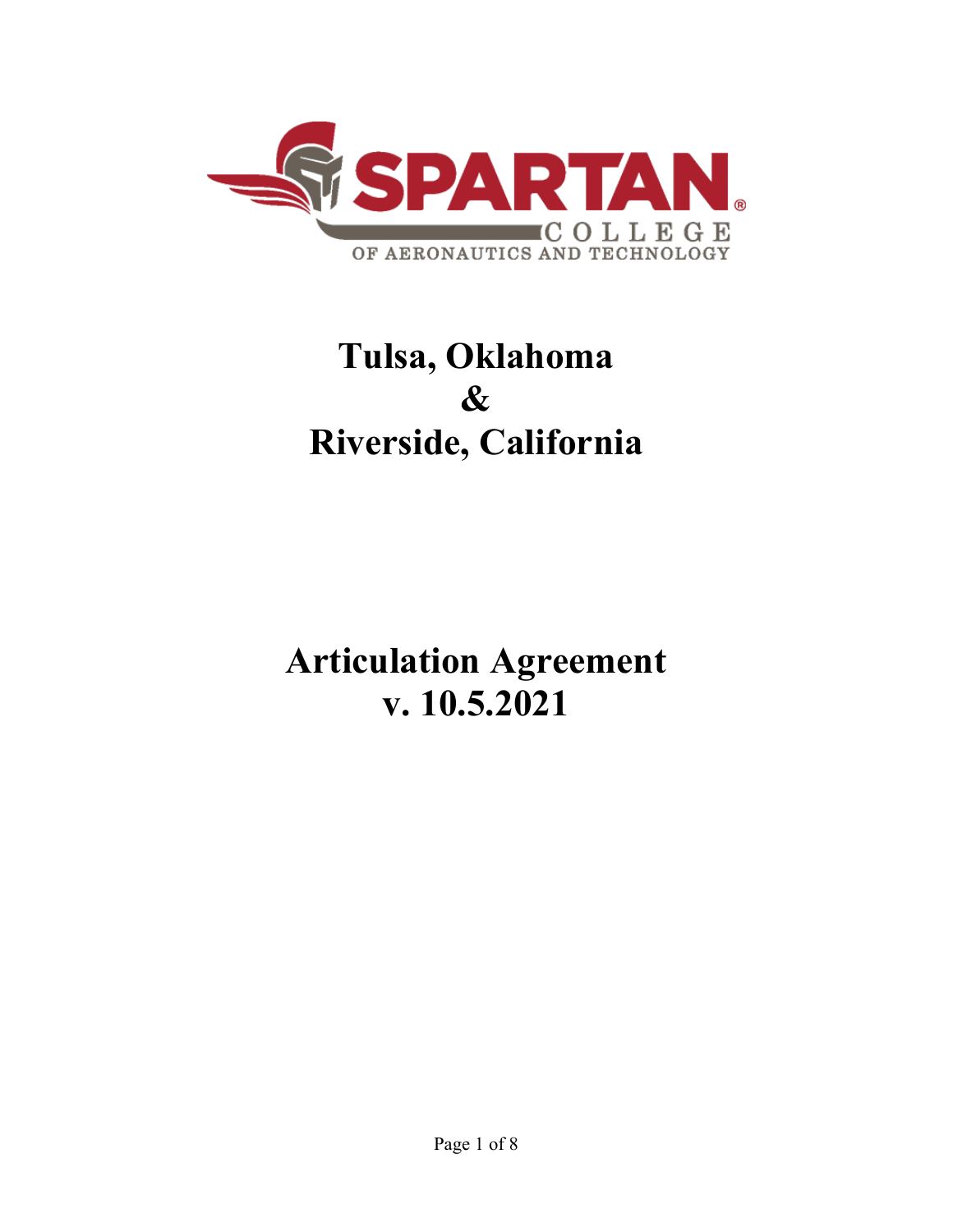

# **Tulsa, Oklahoma & Riverside, California**

**Articulation Agreement v. 10.5.2021**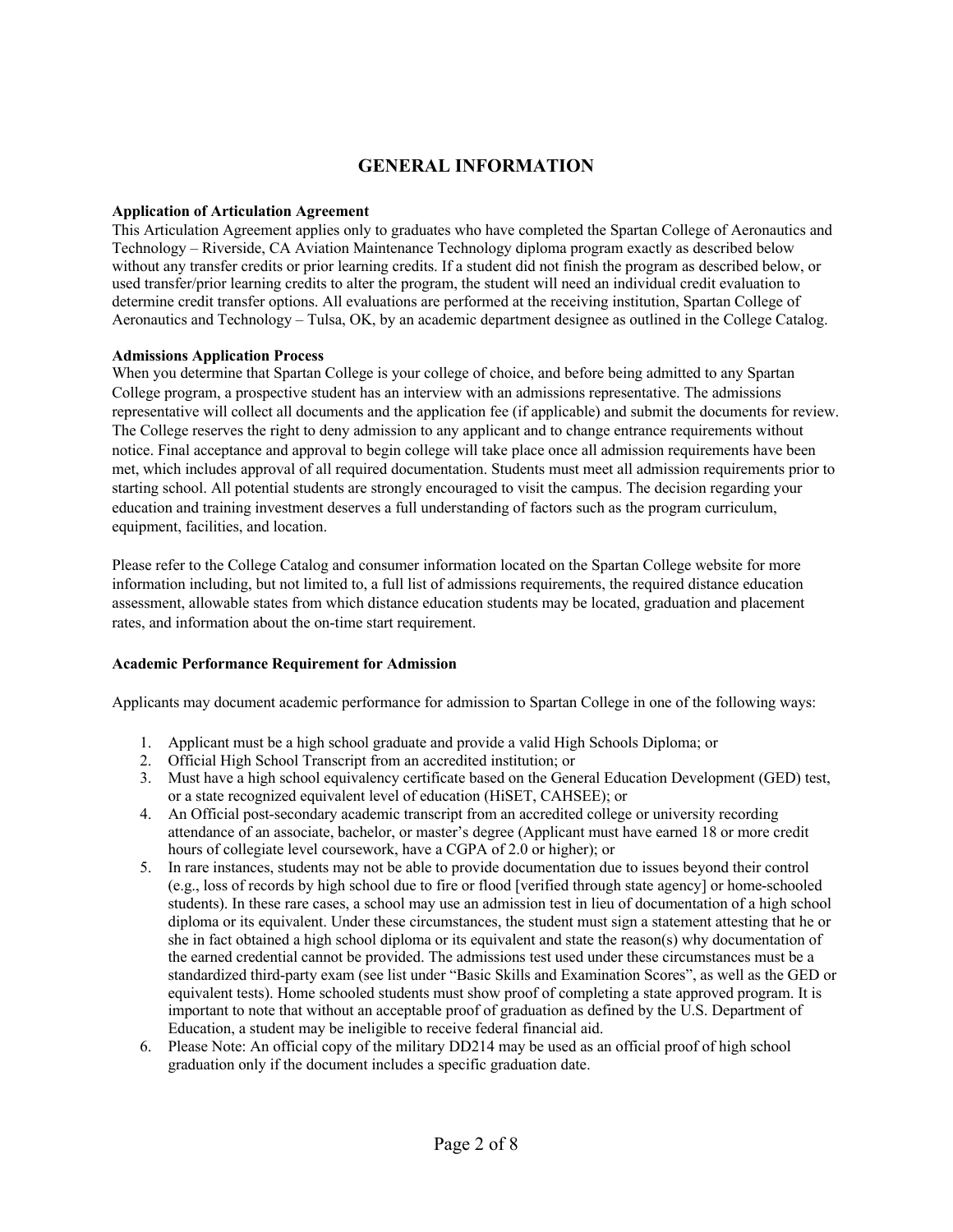# **GENERAL INFORMATION**

## **Application of Articulation Agreement**

This Articulation Agreement applies only to graduates who have completed the Spartan College of Aeronautics and Technology – Riverside, CA Aviation Maintenance Technology diploma program exactly as described below without any transfer credits or prior learning credits. If a student did not finish the program as described below, or used transfer/prior learning credits to alter the program, the student will need an individual credit evaluation to determine credit transfer options. All evaluations are performed at the receiving institution, Spartan College of Aeronautics and Technology – Tulsa, OK, by an academic department designee as outlined in the College Catalog.

# **Admissions Application Process**

When you determine that Spartan College is your college of choice, and before being admitted to any Spartan College program, a prospective student has an interview with an admissions representative. The admissions representative will collect all documents and the application fee (if applicable) and submit the documents for review. The College reserves the right to deny admission to any applicant and to change entrance requirements without notice. Final acceptance and approval to begin college will take place once all admission requirements have been met, which includes approval of all required documentation. Students must meet all admission requirements prior to starting school. All potential students are strongly encouraged to visit the campus. The decision regarding your education and training investment deserves a full understanding of factors such as the program curriculum, equipment, facilities, and location.

Please refer to the College Catalog and consumer information located on the Spartan College website for more information including, but not limited to, a full list of admissions requirements, the required distance education assessment, allowable states from which distance education students may be located, graduation and placement rates, and information about the on-time start requirement.

## **Academic Performance Requirement for Admission**

Applicants may document academic performance for admission to Spartan College in one of the following ways:

- 1. Applicant must be a high school graduate and provide a valid High Schools Diploma; or
- 2. Official High School Transcript from an accredited institution; or
- 3. Must have a high school equivalency certificate based on the General Education Development (GED) test, or a state recognized equivalent level of education (HiSET, CAHSEE); or
- 4. An Official post-secondary academic transcript from an accredited college or university recording attendance of an associate, bachelor, or master's degree (Applicant must have earned 18 or more credit hours of collegiate level coursework, have a CGPA of 2.0 or higher); or
- 5. In rare instances, students may not be able to provide documentation due to issues beyond their control (e.g., loss of records by high school due to fire or flood [verified through state agency] or home-schooled students). In these rare cases, a school may use an admission test in lieu of documentation of a high school diploma or its equivalent. Under these circumstances, the student must sign a statement attesting that he or she in fact obtained a high school diploma or its equivalent and state the reason(s) why documentation of the earned credential cannot be provided. The admissions test used under these circumstances must be a standardized third-party exam (see list under "Basic Skills and Examination Scores", as well as the GED or equivalent tests). Home schooled students must show proof of completing a state approved program. It is important to note that without an acceptable proof of graduation as defined by the U.S. Department of Education, a student may be ineligible to receive federal financial aid.
- 6. Please Note: An official copy of the military DD214 may be used as an official proof of high school graduation only if the document includes a specific graduation date.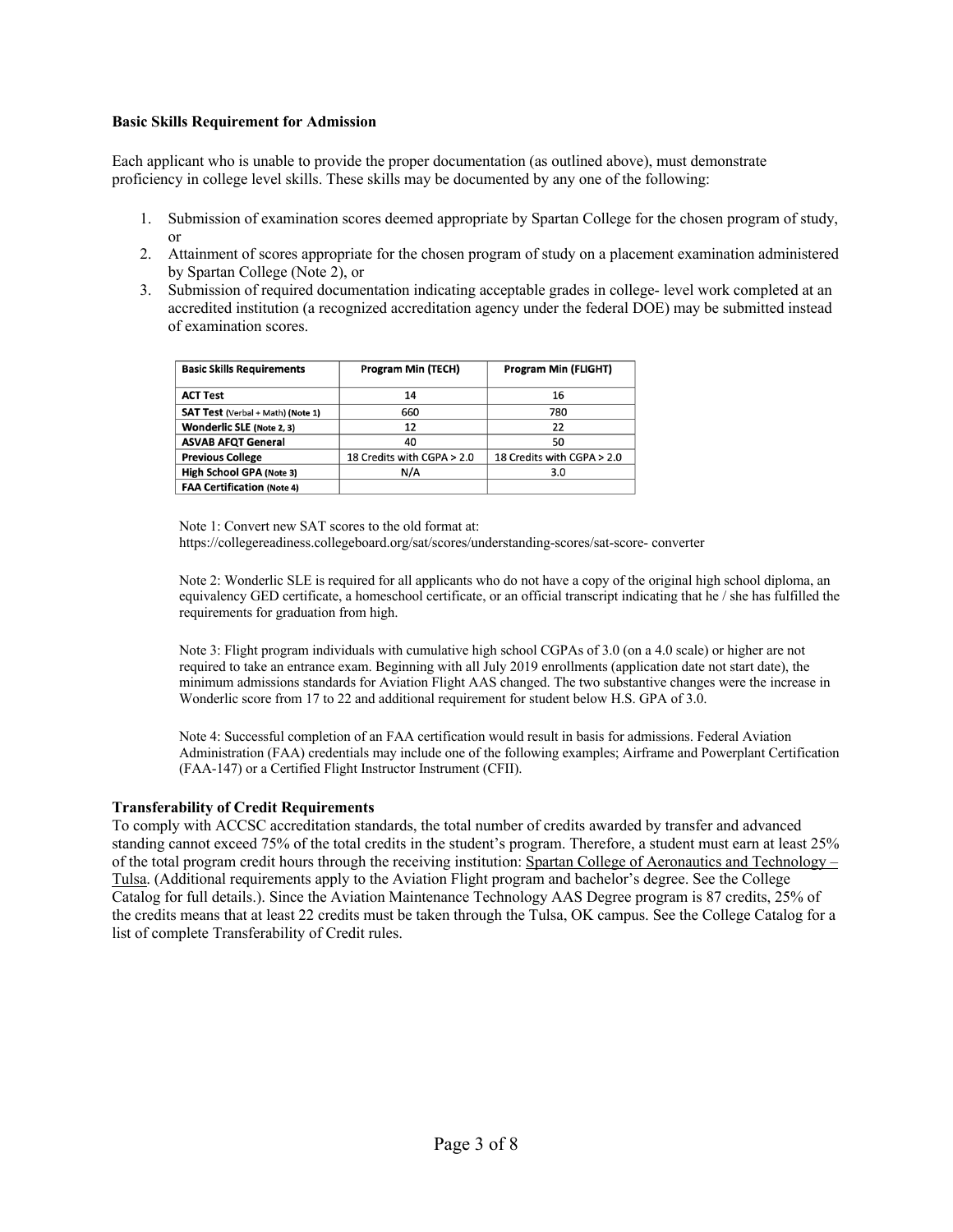#### **Basic Skills Requirement for Admission**

Each applicant who is unable to provide the proper documentation (as outlined above), must demonstrate proficiency in college level skills. These skills may be documented by any one of the following:

- 1. Submission of examination scores deemed appropriate by Spartan College for the chosen program of study, or
- 2. Attainment of scores appropriate for the chosen program of study on a placement examination administered by Spartan College (Note 2), or
- 3. Submission of required documentation indicating acceptable grades in college- level work completed at an accredited institution (a recognized accreditation agency under the federal DOE) may be submitted instead of examination scores.

| <b>Basic Skills Requirements</b>  | <b>Program Min (TECH)</b>  | <b>Program Min (FLIGHT)</b> |
|-----------------------------------|----------------------------|-----------------------------|
| <b>ACT Test</b>                   | 14                         | 16                          |
| SAT Test (Verbal + Math) (Note 1) | 660                        | 780                         |
| <b>Wonderlic SLE (Note 2, 3)</b>  | 12                         | 22                          |
| <b>ASVAB AFQT General</b>         | 40                         | 50                          |
| <b>Previous College</b>           | 18 Credits with CGPA > 2.0 | 18 Credits with CGPA > 2.0  |
| High School GPA (Note 3)          | N/A                        | 3.0                         |
| <b>FAA Certification (Note 4)</b> |                            |                             |

Note 1: Convert new SAT scores to the old format at:

https://collegereadiness.collegeboard.org/sat/scores/understanding-scores/sat-score- converter

Note 2: Wonderlic SLE is required for all applicants who do not have a copy of the original high school diploma, an equivalency GED certificate, a homeschool certificate, or an official transcript indicating that he / she has fulfilled the requirements for graduation from high.

Note 3: Flight program individuals with cumulative high school CGPAs of 3.0 (on a 4.0 scale) or higher are not required to take an entrance exam. Beginning with all July 2019 enrollments (application date not start date), the minimum admissions standards for Aviation Flight AAS changed. The two substantive changes were the increase in Wonderlic score from 17 to 22 and additional requirement for student below H.S. GPA of 3.0.

Note 4: Successful completion of an FAA certification would result in basis for admissions. Federal Aviation Administration (FAA) credentials may include one of the following examples; Airframe and Powerplant Certification (FAA-147) or a Certified Flight Instructor Instrument (CFII).

## **Transferability of Credit Requirements**

To comply with ACCSC accreditation standards, the total number of credits awarded by transfer and advanced standing cannot exceed 75% of the total credits in the student's program. Therefore, a student must earn at least 25% of the total program credit hours through the receiving institution: Spartan College of Aeronautics and Technology – Tulsa. (Additional requirements apply to the Aviation Flight program and bachelor's degree. See the College Catalog for full details.). Since the Aviation Maintenance Technology AAS Degree program is 87 credits, 25% of the credits means that at least 22 credits must be taken through the Tulsa, OK campus. See the College Catalog for a list of complete Transferability of Credit rules.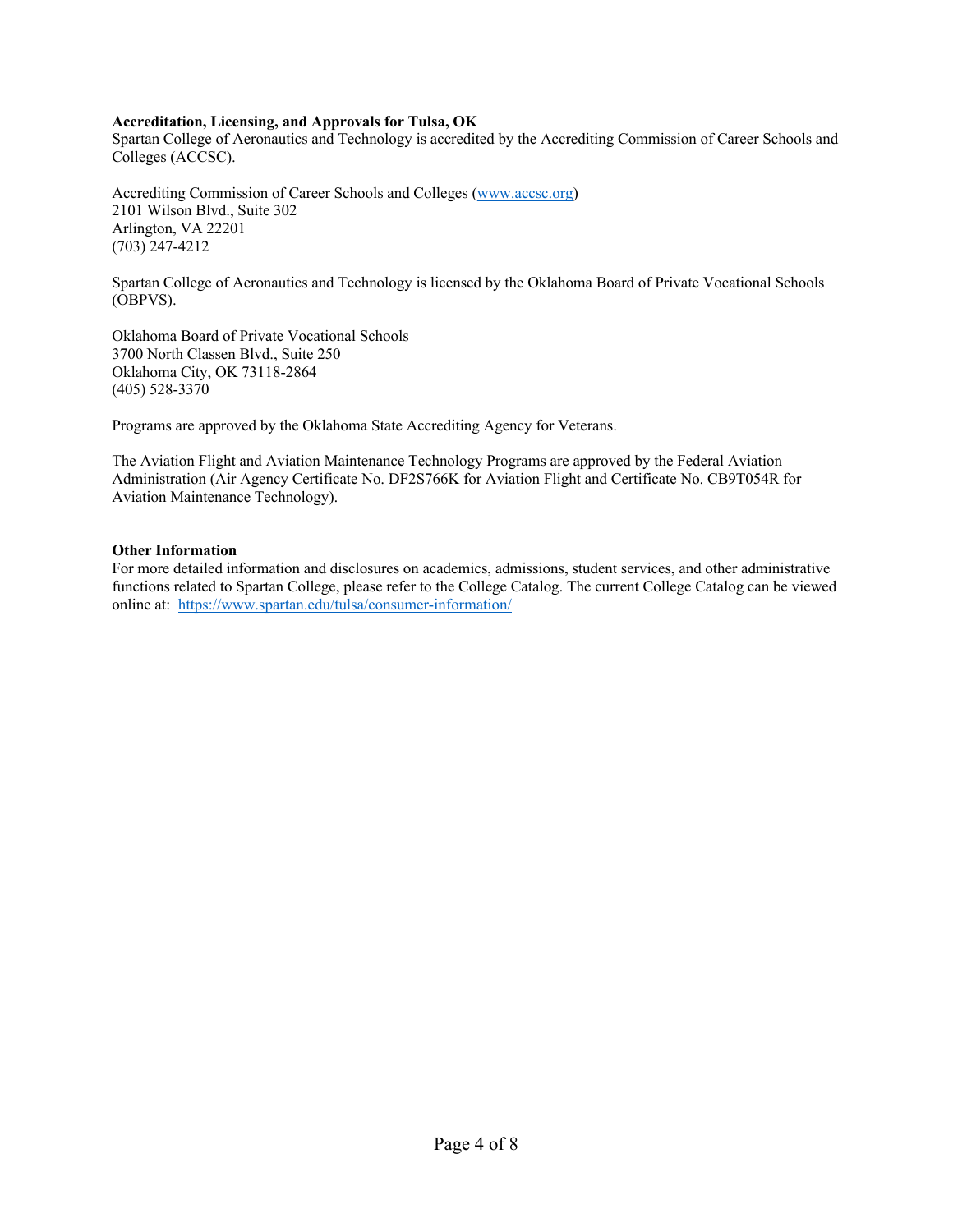## **Accreditation, Licensing, and Approvals for Tulsa, OK**

Spartan College of Aeronautics and Technology is accredited by the Accrediting Commission of Career Schools and Colleges (ACCSC).

Accrediting Commission of Career Schools and Colleges (www.accsc.org) 2101 Wilson Blvd., Suite 302 Arlington, VA 22201 (703) 247-4212

Spartan College of Aeronautics and Technology is licensed by the Oklahoma Board of Private Vocational Schools (OBPVS).

Oklahoma Board of Private Vocational Schools 3700 North Classen Blvd., Suite 250 Oklahoma City, OK 73118-2864 (405) 528-3370

Programs are approved by the Oklahoma State Accrediting Agency for Veterans.

The Aviation Flight and Aviation Maintenance Technology Programs are approved by the Federal Aviation Administration (Air Agency Certificate No. DF2S766K for Aviation Flight and Certificate No. CB9T054R for Aviation Maintenance Technology).

#### **Other Information**

For more detailed information and disclosures on academics, admissions, student services, and other administrative functions related to Spartan College, please refer to the College Catalog. The current College Catalog can be viewed online at: https://www.spartan.edu/tulsa/consumer-information/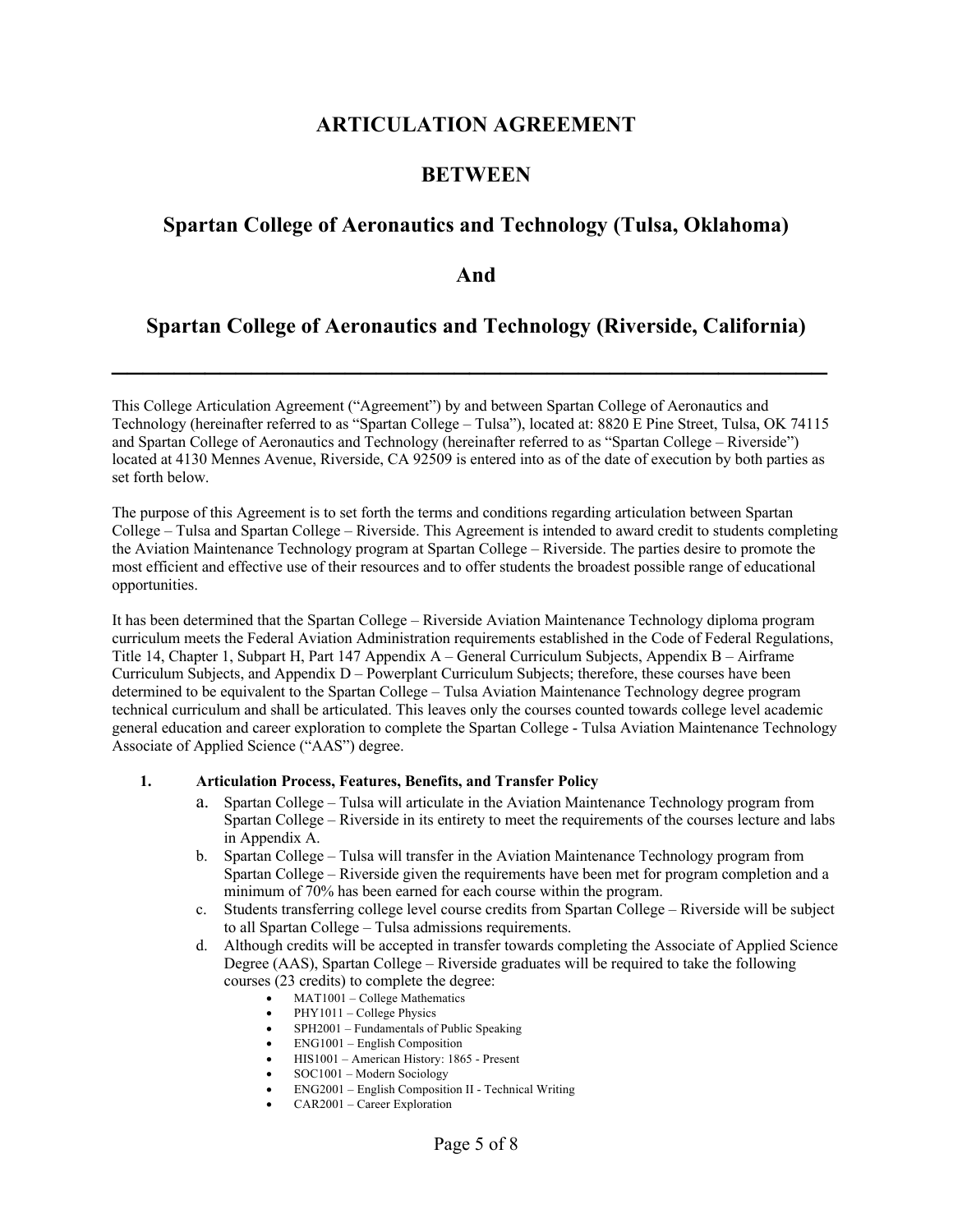# **ARTICULATION AGREEMENT**

# **BETWEEN**

# **Spartan College of Aeronautics and Technology (Tulsa, Oklahoma)**

# **And**

# **Spartan College of Aeronautics and Technology (Riverside, California)**

**\_\_\_\_\_\_\_\_\_\_\_\_\_\_\_\_\_\_\_\_\_\_\_\_\_\_\_\_\_\_\_\_\_\_\_\_\_\_\_\_\_\_\_\_\_\_**

This College Articulation Agreement ("Agreement") by and between Spartan College of Aeronautics and Technology (hereinafter referred to as "Spartan College – Tulsa"), located at: 8820 E Pine Street, Tulsa, OK 74115 and Spartan College of Aeronautics and Technology (hereinafter referred to as "Spartan College – Riverside") located at 4130 Mennes Avenue, Riverside, CA 92509 is entered into as of the date of execution by both parties as set forth below.

The purpose of this Agreement is to set forth the terms and conditions regarding articulation between Spartan College – Tulsa and Spartan College – Riverside. This Agreement is intended to award credit to students completing the Aviation Maintenance Technology program at Spartan College – Riverside. The parties desire to promote the most efficient and effective use of their resources and to offer students the broadest possible range of educational opportunities.

It has been determined that the Spartan College – Riverside Aviation Maintenance Technology diploma program curriculum meets the Federal Aviation Administration requirements established in the Code of Federal Regulations, Title 14, Chapter 1, Subpart H, Part 147 Appendix A – General Curriculum Subjects, Appendix B – Airframe Curriculum Subjects, and Appendix D – Powerplant Curriculum Subjects; therefore, these courses have been determined to be equivalent to the Spartan College – Tulsa Aviation Maintenance Technology degree program technical curriculum and shall be articulated. This leaves only the courses counted towards college level academic general education and career exploration to complete the Spartan College - Tulsa Aviation Maintenance Technology Associate of Applied Science ("AAS") degree.

## **1. Articulation Process, Features, Benefits, and Transfer Policy**

- a. Spartan College Tulsa will articulate in the Aviation Maintenance Technology program from Spartan College – Riverside in its entirety to meet the requirements of the courses lecture and labs in Appendix A.
- b. Spartan College Tulsa will transfer in the Aviation Maintenance Technology program from Spartan College – Riverside given the requirements have been met for program completion and a minimum of 70% has been earned for each course within the program.
- c. Students transferring college level course credits from Spartan College Riverside will be subject to all Spartan College – Tulsa admissions requirements.
- d. Although credits will be accepted in transfer towards completing the Associate of Applied Science Degree (AAS), Spartan College – Riverside graduates will be required to take the following courses (23 credits) to complete the degree:
	- MAT1001 College Mathematics
	- PHY1011 College Physics
	- SPH2001 Fundamentals of Public Speaking
	- ENG1001 English Composition
	- HIS1001 American History: 1865 Present
	- SOC1001 Modern Sociology
	- ENG2001 English Composition II Technical Writing
	- CAR2001 Career Exploration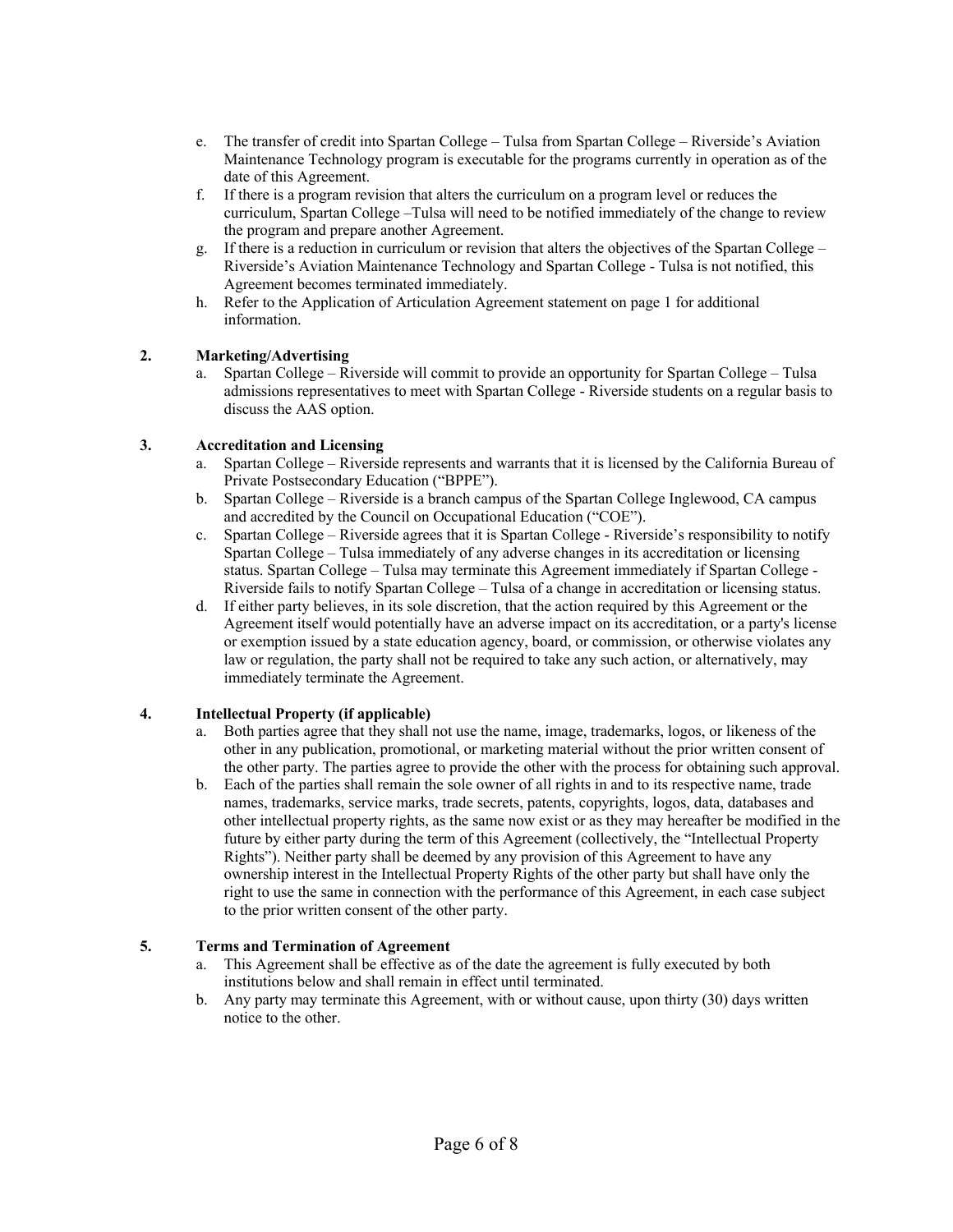- e. The transfer of credit into Spartan College Tulsa from Spartan College Riverside's Aviation Maintenance Technology program is executable for the programs currently in operation as of the date of this Agreement.
- f. If there is a program revision that alters the curriculum on a program level or reduces the curriculum, Spartan College –Tulsa will need to be notified immediately of the change to review the program and prepare another Agreement.
- g. If there is a reduction in curriculum or revision that alters the objectives of the Spartan College Riverside's Aviation Maintenance Technology and Spartan College - Tulsa is not notified, this Agreement becomes terminated immediately.
- h. Refer to the Application of Articulation Agreement statement on page 1 for additional information.

# **2. Marketing/Advertising**

a. Spartan College – Riverside will commit to provide an opportunity for Spartan College – Tulsa admissions representatives to meet with Spartan College - Riverside students on a regular basis to discuss the AAS option.

# **3. Accreditation and Licensing**

- a. Spartan College Riverside represents and warrants that it is licensed by the California Bureau of Private Postsecondary Education ("BPPE").
- b. Spartan College Riverside is a branch campus of the Spartan College Inglewood, CA campus and accredited by the Council on Occupational Education ("COE").
- c. Spartan College Riverside agrees that it is Spartan College Riverside's responsibility to notify Spartan College – Tulsa immediately of any adverse changes in its accreditation or licensing status. Spartan College – Tulsa may terminate this Agreement immediately if Spartan College - Riverside fails to notify Spartan College – Tulsa of a change in accreditation or licensing status.
- d. If either party believes, in its sole discretion, that the action required by this Agreement or the Agreement itself would potentially have an adverse impact on its accreditation, or a party's license or exemption issued by a state education agency, board, or commission, or otherwise violates any law or regulation, the party shall not be required to take any such action, or alternatively, may immediately terminate the Agreement.

# **4. Intellectual Property (if applicable)**

- a. Both parties agree that they shall not use the name, image, trademarks, logos, or likeness of the other in any publication, promotional, or marketing material without the prior written consent of the other party. The parties agree to provide the other with the process for obtaining such approval.
- b. Each of the parties shall remain the sole owner of all rights in and to its respective name, trade names, trademarks, service marks, trade secrets, patents, copyrights, logos, data, databases and other intellectual property rights, as the same now exist or as they may hereafter be modified in the future by either party during the term of this Agreement (collectively, the "Intellectual Property Rights"). Neither party shall be deemed by any provision of this Agreement to have any ownership interest in the Intellectual Property Rights of the other party but shall have only the right to use the same in connection with the performance of this Agreement, in each case subject to the prior written consent of the other party.

# **5. Terms and Termination of Agreement**

- a. This Agreement shall be effective as of the date the agreement is fully executed by both institutions below and shall remain in effect until terminated.
- b. Any party may terminate this Agreement, with or without cause, upon thirty (30) days written notice to the other.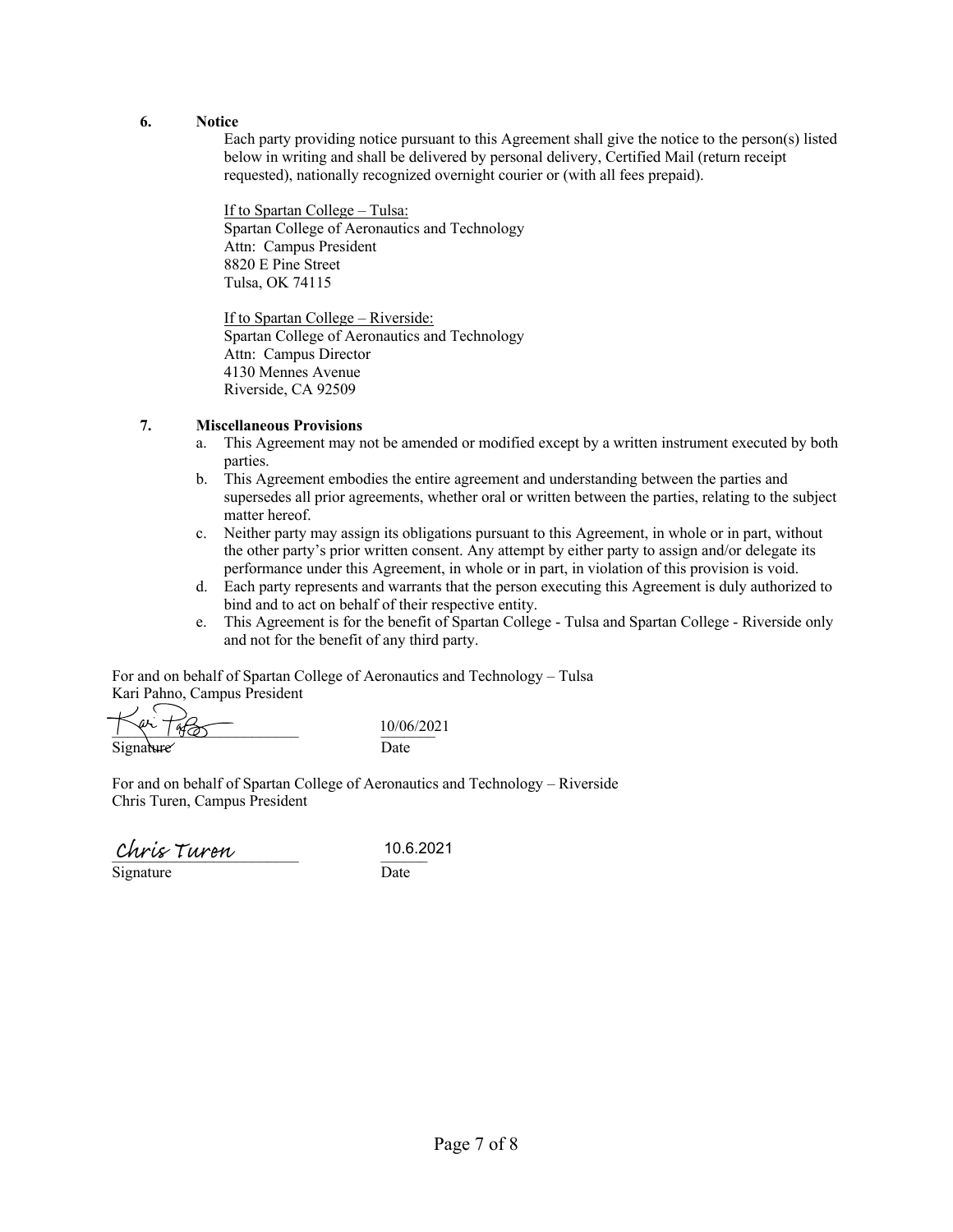#### **6. Notice**

Each party providing notice pursuant to this Agreement shall give the notice to the person(s) listed below in writing and shall be delivered by personal delivery, Certified Mail (return receipt requested), nationally recognized overnight courier or (with all fees prepaid).

If to Spartan College – Tulsa: Spartan College of Aeronautics and Technology Attn: Campus President 8820 E Pine Street Tulsa, OK 74115

If to Spartan College – Riverside: Spartan College of Aeronautics and Technology Attn: Campus Director 4130 Mennes Avenue Riverside, CA 92509

## **7. Miscellaneous Provisions**

- a. This Agreement may not be amended or modified except by a written instrument executed by both parties.
- b. This Agreement embodies the entire agreement and understanding between the parties and supersedes all prior agreements, whether oral or written between the parties, relating to the subject matter hereof.
- c. Neither party may assign its obligations pursuant to this Agreement, in whole or in part, without the other party's prior written consent. Any attempt by either party to assign and/or delegate its performance under this Agreement, in whole or in part, in violation of this provision is void.
- d. Each party represents and warrants that the person executing this Agreement is duly authorized to bind and to act on behalf of their respective entity.
- e. This Agreement is for the benefit of Spartan College Tulsa and Spartan College Riverside only and not for the benefit of any third party.

For and on behalf of Spartan College of Aeronautics and Technology – Tulsa Kari Pahno, Campus President

 $\sqrt{4\sqrt{146}}$   $10/06/2021$ Signature Date

For and on behalf of Spartan College of Aeronautics and Technology – Riverside Chris Turen, Campus President

 $_\text{Sionature}$   $_\text{Disordure}$   $_\text{Date}$ 

 $\overline{\text{Signature}}$ 

10.6.2021